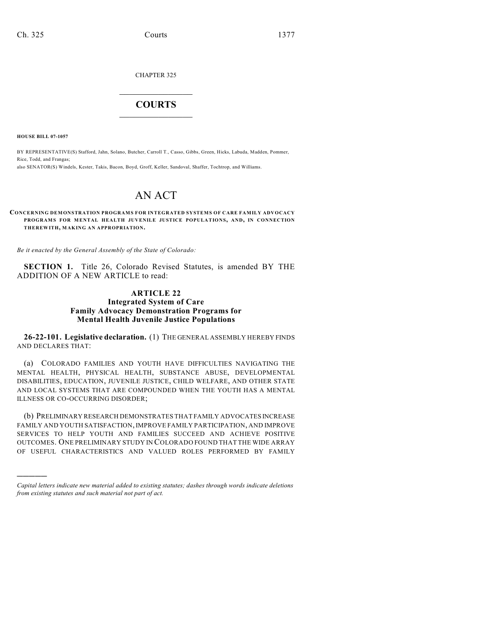CHAPTER 325

## $\mathcal{L}_\text{max}$  . The set of the set of the set of the set of the set of the set of the set of the set of the set of the set of the set of the set of the set of the set of the set of the set of the set of the set of the set **COURTS**  $\_$

**HOUSE BILL 07-1057**

)))))

BY REPRESENTATIVE(S) Stafford, Jahn, Solano, Butcher, Carroll T., Casso, Gibbs, Green, Hicks, Labuda, Madden, Pommer, Rice, Todd, and Frangas; also SENATOR(S) Windels, Kester, Takis, Bacon, Boyd, Groff, Keller, Sandoval, Shaffer, Tochtrop, and Williams.

# AN ACT

**CONCERNING DEMONSTRATION PROGRAMS FOR INTEGRATED SYSTEMS OF CARE FAMILY ADVOCACY PROGRAMS FOR MENTAL HEALTH JUVENILE JUSTICE POPULATIONS, AND, IN CONNECTION THEREWITH, MAKING AN APPROPRIATION.**

*Be it enacted by the General Assembly of the State of Colorado:*

**SECTION 1.** Title 26, Colorado Revised Statutes, is amended BY THE ADDITION OF A NEW ARTICLE to read:

### **ARTICLE 22 Integrated System of Care Family Advocacy Demonstration Programs for Mental Health Juvenile Justice Populations**

**26-22-101. Legislative declaration.** (1) THE GENERAL ASSEMBLY HEREBY FINDS AND DECLARES THAT:

(a) COLORADO FAMILIES AND YOUTH HAVE DIFFICULTIES NAVIGATING THE MENTAL HEALTH, PHYSICAL HEALTH, SUBSTANCE ABUSE, DEVELOPMENTAL DISABILITIES, EDUCATION, JUVENILE JUSTICE, CHILD WELFARE, AND OTHER STATE AND LOCAL SYSTEMS THAT ARE COMPOUNDED WHEN THE YOUTH HAS A MENTAL ILLNESS OR CO-OCCURRING DISORDER;

(b) PRELIMINARY RESEARCH DEMONSTRATES THAT FAMILY ADVOCATES INCREASE FAMILY AND YOUTH SATISFACTION, IMPROVE FAMILY PARTICIPATION, AND IMPROVE SERVICES TO HELP YOUTH AND FAMILIES SUCCEED AND ACHIEVE POSITIVE OUTCOMES. ONE PRELIMINARY STUDY IN COLORADO FOUND THAT THE WIDE ARRAY OF USEFUL CHARACTERISTICS AND VALUED ROLES PERFORMED BY FAMILY

*Capital letters indicate new material added to existing statutes; dashes through words indicate deletions from existing statutes and such material not part of act.*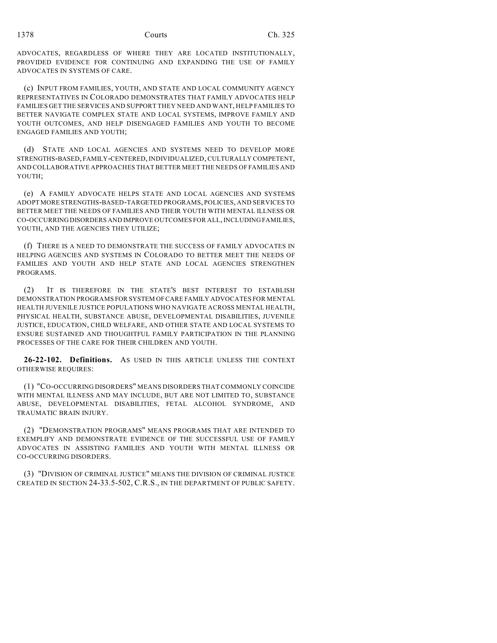ADVOCATES, REGARDLESS OF WHERE THEY ARE LOCATED INSTITUTIONALLY, PROVIDED EVIDENCE FOR CONTINUING AND EXPANDING THE USE OF FAMILY ADVOCATES IN SYSTEMS OF CARE.

(c) INPUT FROM FAMILIES, YOUTH, AND STATE AND LOCAL COMMUNITY AGENCY REPRESENTATIVES IN COLORADO DEMONSTRATES THAT FAMILY ADVOCATES HELP FAMILIES GET THE SERVICES AND SUPPORT THEY NEED AND WANT, HELP FAMILIES TO BETTER NAVIGATE COMPLEX STATE AND LOCAL SYSTEMS, IMPROVE FAMILY AND YOUTH OUTCOMES, AND HELP DISENGAGED FAMILIES AND YOUTH TO BECOME ENGAGED FAMILIES AND YOUTH;

(d) STATE AND LOCAL AGENCIES AND SYSTEMS NEED TO DEVELOP MORE STRENGTHS-BASED, FAMILY-CENTERED, INDIVIDUALIZED, CULTURALLY COMPETENT, AND COLLABORATIVE APPROACHES THAT BETTER MEET THE NEEDS OF FAMILIES AND YOUTH;

(e) A FAMILY ADVOCATE HELPS STATE AND LOCAL AGENCIES AND SYSTEMS ADOPT MORE STRENGTHS-BASED-TARGETED PROGRAMS, POLICIES, AND SERVICES TO BETTER MEET THE NEEDS OF FAMILIES AND THEIR YOUTH WITH MENTAL ILLNESS OR CO-OCCURRING DISORDERS AND IMPROVE OUTCOMES FOR ALL, INCLUDING FAMILIES, YOUTH, AND THE AGENCIES THEY UTILIZE;

(f) THERE IS A NEED TO DEMONSTRATE THE SUCCESS OF FAMILY ADVOCATES IN HELPING AGENCIES AND SYSTEMS IN COLORADO TO BETTER MEET THE NEEDS OF FAMILIES AND YOUTH AND HELP STATE AND LOCAL AGENCIES STRENGTHEN PROGRAMS.

(2) IT IS THEREFORE IN THE STATE'S BEST INTEREST TO ESTABLISH DEMONSTRATION PROGRAMS FOR SYSTEM OF CARE FAMILY ADVOCATES FOR MENTAL HEALTH JUVENILE JUSTICE POPULATIONS WHO NAVIGATE ACROSS MENTAL HEALTH, PHYSICAL HEALTH, SUBSTANCE ABUSE, DEVELOPMENTAL DISABILITIES, JUVENILE JUSTICE, EDUCATION, CHILD WELFARE, AND OTHER STATE AND LOCAL SYSTEMS TO ENSURE SUSTAINED AND THOUGHTFUL FAMILY PARTICIPATION IN THE PLANNING PROCESSES OF THE CARE FOR THEIR CHILDREN AND YOUTH.

**26-22-102. Definitions.** AS USED IN THIS ARTICLE UNLESS THE CONTEXT OTHERWISE REQUIRES:

(1) "CO-OCCURRING DISORDERS" MEANS DISORDERS THAT COMMONLY COINCIDE WITH MENTAL ILLNESS AND MAY INCLUDE, BUT ARE NOT LIMITED TO, SUBSTANCE ABUSE, DEVELOPMENTAL DISABILITIES, FETAL ALCOHOL SYNDROME, AND TRAUMATIC BRAIN INJURY.

(2) "DEMONSTRATION PROGRAMS" MEANS PROGRAMS THAT ARE INTENDED TO EXEMPLIFY AND DEMONSTRATE EVIDENCE OF THE SUCCESSFUL USE OF FAMILY ADVOCATES IN ASSISTING FAMILIES AND YOUTH WITH MENTAL ILLNESS OR CO-OCCURRING DISORDERS.

(3) "DIVISION OF CRIMINAL JUSTICE" MEANS THE DIVISION OF CRIMINAL JUSTICE CREATED IN SECTION 24-33.5-502, C.R.S., IN THE DEPARTMENT OF PUBLIC SAFETY.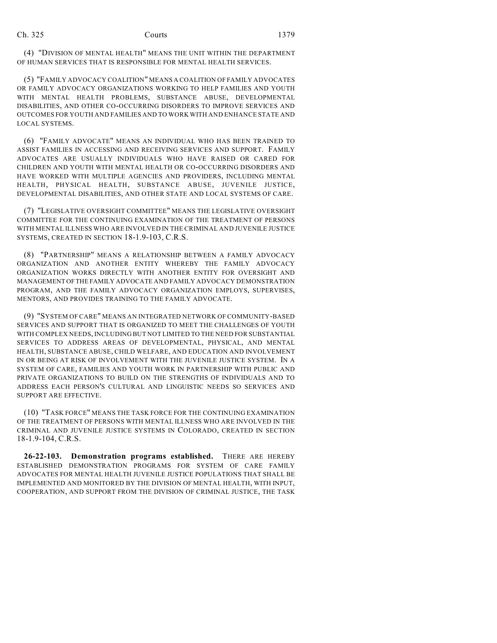(4) "DIVISION OF MENTAL HEALTH" MEANS THE UNIT WITHIN THE DEPARTMENT OF HUMAN SERVICES THAT IS RESPONSIBLE FOR MENTAL HEALTH SERVICES.

(5) "FAMILY ADVOCACY COALITION" MEANS A COALITION OF FAMILY ADVOCATES OR FAMILY ADVOCACY ORGANIZATIONS WORKING TO HELP FAMILIES AND YOUTH WITH MENTAL HEALTH PROBLEMS, SUBSTANCE ABUSE, DEVELOPMENTAL DISABILITIES, AND OTHER CO-OCCURRING DISORDERS TO IMPROVE SERVICES AND OUTCOMES FOR YOUTH AND FAMILIES AND TO WORK WITH AND ENHANCE STATE AND LOCAL SYSTEMS.

(6) "FAMILY ADVOCATE" MEANS AN INDIVIDUAL WHO HAS BEEN TRAINED TO ASSIST FAMILIES IN ACCESSING AND RECEIVING SERVICES AND SUPPORT. FAMILY ADVOCATES ARE USUALLY INDIVIDUALS WHO HAVE RAISED OR CARED FOR CHILDREN AND YOUTH WITH MENTAL HEALTH OR CO-OCCURRING DISORDERS AND HAVE WORKED WITH MULTIPLE AGENCIES AND PROVIDERS, INCLUDING MENTAL HEALTH, PHYSICAL HEALTH, SUBSTANCE ABUSE, JUVENILE JUSTICE, DEVELOPMENTAL DISABILITIES, AND OTHER STATE AND LOCAL SYSTEMS OF CARE.

(7) "LEGISLATIVE OVERSIGHT COMMITTEE" MEANS THE LEGISLATIVE OVERSIGHT COMMITTEE FOR THE CONTINUING EXAMINATION OF THE TREATMENT OF PERSONS WITH MENTAL ILLNESS WHO ARE INVOLVED IN THE CRIMINAL AND JUVENILE JUSTICE SYSTEMS, CREATED IN SECTION 18-1.9-103, C.R.S.

(8) "PARTNERSHIP" MEANS A RELATIONSHIP BETWEEN A FAMILY ADVOCACY ORGANIZATION AND ANOTHER ENTITY WHEREBY THE FAMILY ADVOCACY ORGANIZATION WORKS DIRECTLY WITH ANOTHER ENTITY FOR OVERSIGHT AND MANAGEMENT OF THE FAMILY ADVOCATE AND FAMILY ADVOCACY DEMONSTRATION PROGRAM, AND THE FAMILY ADVOCACY ORGANIZATION EMPLOYS, SUPERVISES, MENTORS, AND PROVIDES TRAINING TO THE FAMILY ADVOCATE.

(9) "SYSTEM OF CARE" MEANS AN INTEGRATED NETWORK OF COMMUNITY-BASED SERVICES AND SUPPORT THAT IS ORGANIZED TO MEET THE CHALLENGES OF YOUTH WITH COMPLEX NEEDS, INCLUDING BUT NOT LIMITED TO THE NEED FOR SUBSTANTIAL SERVICES TO ADDRESS AREAS OF DEVELOPMENTAL, PHYSICAL, AND MENTAL HEALTH, SUBSTANCE ABUSE, CHILD WELFARE, AND EDUCATION AND INVOLVEMENT IN OR BEING AT RISK OF INVOLVEMENT WITH THE JUVENILE JUSTICE SYSTEM. IN A SYSTEM OF CARE, FAMILIES AND YOUTH WORK IN PARTNERSHIP WITH PUBLIC AND PRIVATE ORGANIZATIONS TO BUILD ON THE STRENGTHS OF INDIVIDUALS AND TO ADDRESS EACH PERSON'S CULTURAL AND LINGUISTIC NEEDS SO SERVICES AND SUPPORT ARE EFFECTIVE.

(10) "TASK FORCE" MEANS THE TASK FORCE FOR THE CONTINUING EXAMINATION OF THE TREATMENT OF PERSONS WITH MENTAL ILLNESS WHO ARE INVOLVED IN THE CRIMINAL AND JUVENILE JUSTICE SYSTEMS IN COLORADO, CREATED IN SECTION 18-1.9-104, C.R.S.

**26-22-103. Demonstration programs established.** THERE ARE HEREBY ESTABLISHED DEMONSTRATION PROGRAMS FOR SYSTEM OF CARE FAMILY ADVOCATES FOR MENTAL HEALTH JUVENILE JUSTICE POPULATIONS THAT SHALL BE IMPLEMENTED AND MONITORED BY THE DIVISION OF MENTAL HEALTH, WITH INPUT, COOPERATION, AND SUPPORT FROM THE DIVISION OF CRIMINAL JUSTICE, THE TASK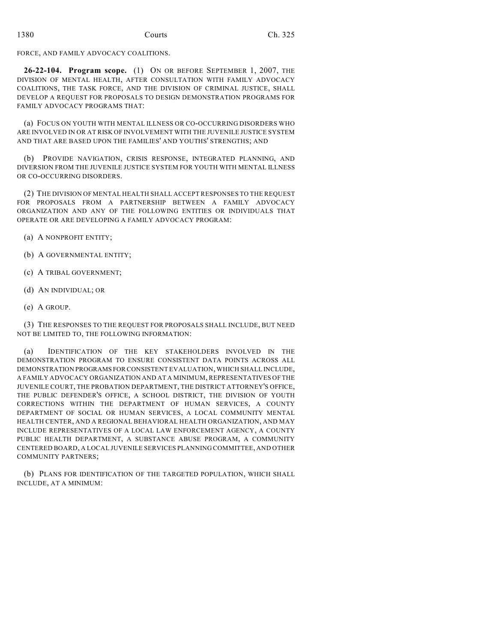### FORCE, AND FAMILY ADVOCACY COALITIONS.

**26-22-104. Program scope.** (1) ON OR BEFORE SEPTEMBER 1, 2007, THE DIVISION OF MENTAL HEALTH, AFTER CONSULTATION WITH FAMILY ADVOCACY COALITIONS, THE TASK FORCE, AND THE DIVISION OF CRIMINAL JUSTICE, SHALL DEVELOP A REQUEST FOR PROPOSALS TO DESIGN DEMONSTRATION PROGRAMS FOR FAMILY ADVOCACY PROGRAMS THAT:

(a) FOCUS ON YOUTH WITH MENTAL ILLNESS OR CO-OCCURRING DISORDERS WHO ARE INVOLVED IN OR AT RISK OF INVOLVEMENT WITH THE JUVENILE JUSTICE SYSTEM AND THAT ARE BASED UPON THE FAMILIES' AND YOUTHS' STRENGTHS; AND

(b) PROVIDE NAVIGATION, CRISIS RESPONSE, INTEGRATED PLANNING, AND DIVERSION FROM THE JUVENILE JUSTICE SYSTEM FOR YOUTH WITH MENTAL ILLNESS OR CO-OCCURRING DISORDERS.

(2) THE DIVISION OF MENTAL HEALTH SHALL ACCEPT RESPONSES TO THE REQUEST FOR PROPOSALS FROM A PARTNERSHIP BETWEEN A FAMILY ADVOCACY ORGANIZATION AND ANY OF THE FOLLOWING ENTITIES OR INDIVIDUALS THAT OPERATE OR ARE DEVELOPING A FAMILY ADVOCACY PROGRAM:

- (a) A NONPROFIT ENTITY;
- (b) A GOVERNMENTAL ENTITY;
- (c) A TRIBAL GOVERNMENT;
- (d) AN INDIVIDUAL; OR
- (e) A GROUP.

(3) THE RESPONSES TO THE REQUEST FOR PROPOSALS SHALL INCLUDE, BUT NEED NOT BE LIMITED TO, THE FOLLOWING INFORMATION:

(a) IDENTIFICATION OF THE KEY STAKEHOLDERS INVOLVED IN THE DEMONSTRATION PROGRAM TO ENSURE CONSISTENT DATA POINTS ACROSS ALL DEMONSTRATION PROGRAMS FOR CONSISTENT EVALUATION, WHICH SHALL INCLUDE, A FAMILY ADVOCACY ORGANIZATION AND AT A MINIMUM, REPRESENTATIVES OF THE JUVENILE COURT, THE PROBATION DEPARTMENT, THE DISTRICT ATTORNEY'S OFFICE, THE PUBLIC DEFENDER'S OFFICE, A SCHOOL DISTRICT, THE DIVISION OF YOUTH CORRECTIONS WITHIN THE DEPARTMENT OF HUMAN SERVICES, A COUNTY DEPARTMENT OF SOCIAL OR HUMAN SERVICES, A LOCAL COMMUNITY MENTAL HEALTH CENTER, AND A REGIONAL BEHAVIORAL HEALTH ORGANIZATION, AND MAY INCLUDE REPRESENTATIVES OF A LOCAL LAW ENFORCEMENT AGENCY, A COUNTY PUBLIC HEALTH DEPARTMENT, A SUBSTANCE ABUSE PROGRAM, A COMMUNITY CENTERED BOARD, A LOCAL JUVENILE SERVICES PLANNING COMMITTEE, AND OTHER COMMUNITY PARTNERS;

(b) PLANS FOR IDENTIFICATION OF THE TARGETED POPULATION, WHICH SHALL INCLUDE, AT A MINIMUM: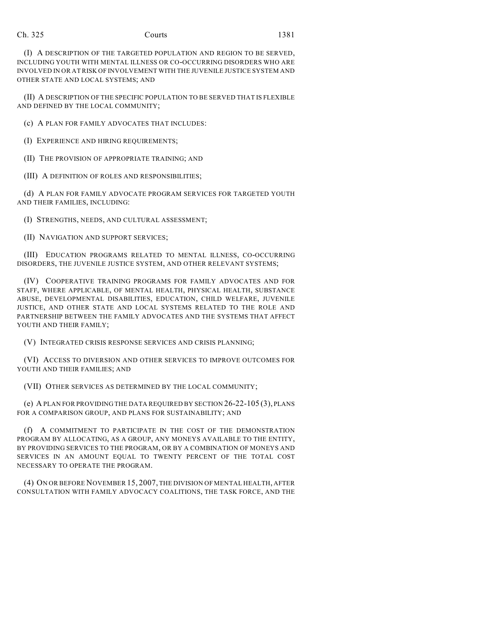| Ch. 325 | Courts | 1381 |
|---------|--------|------|
|         |        |      |

(I) A DESCRIPTION OF THE TARGETED POPULATION AND REGION TO BE SERVED, INCLUDING YOUTH WITH MENTAL ILLNESS OR CO-OCCURRING DISORDERS WHO ARE INVOLVED IN OR AT RISK OF INVOLVEMENT WITH THE JUVENILE JUSTICE SYSTEM AND OTHER STATE AND LOCAL SYSTEMS; AND

(II) A DESCRIPTION OF THE SPECIFIC POPULATION TO BE SERVED THAT IS FLEXIBLE AND DEFINED BY THE LOCAL COMMUNITY;

(c) A PLAN FOR FAMILY ADVOCATES THAT INCLUDES:

(I) EXPERIENCE AND HIRING REQUIREMENTS;

(II) THE PROVISION OF APPROPRIATE TRAINING; AND

(III) A DEFINITION OF ROLES AND RESPONSIBILITIES;

(d) A PLAN FOR FAMILY ADVOCATE PROGRAM SERVICES FOR TARGETED YOUTH AND THEIR FAMILIES, INCLUDING:

(I) STRENGTHS, NEEDS, AND CULTURAL ASSESSMENT;

(II) NAVIGATION AND SUPPORT SERVICES;

(III) EDUCATION PROGRAMS RELATED TO MENTAL ILLNESS, CO-OCCURRING DISORDERS, THE JUVENILE JUSTICE SYSTEM, AND OTHER RELEVANT SYSTEMS;

(IV) COOPERATIVE TRAINING PROGRAMS FOR FAMILY ADVOCATES AND FOR STAFF, WHERE APPLICABLE, OF MENTAL HEALTH, PHYSICAL HEALTH, SUBSTANCE ABUSE, DEVELOPMENTAL DISABILITIES, EDUCATION, CHILD WELFARE, JUVENILE JUSTICE, AND OTHER STATE AND LOCAL SYSTEMS RELATED TO THE ROLE AND PARTNERSHIP BETWEEN THE FAMILY ADVOCATES AND THE SYSTEMS THAT AFFECT YOUTH AND THEIR FAMILY;

(V) INTEGRATED CRISIS RESPONSE SERVICES AND CRISIS PLANNING;

(VI) ACCESS TO DIVERSION AND OTHER SERVICES TO IMPROVE OUTCOMES FOR YOUTH AND THEIR FAMILIES; AND

(VII) OTHER SERVICES AS DETERMINED BY THE LOCAL COMMUNITY;

(e) A PLAN FOR PROVIDING THE DATA REQUIRED BY SECTION 26-22-105 (3), PLANS FOR A COMPARISON GROUP, AND PLANS FOR SUSTAINABILITY; AND

(f) A COMMITMENT TO PARTICIPATE IN THE COST OF THE DEMONSTRATION PROGRAM BY ALLOCATING, AS A GROUP, ANY MONEYS AVAILABLE TO THE ENTITY, BY PROVIDING SERVICES TO THE PROGRAM, OR BY A COMBINATION OF MONEYS AND SERVICES IN AN AMOUNT EQUAL TO TWENTY PERCENT OF THE TOTAL COST NECESSARY TO OPERATE THE PROGRAM.

(4) ON OR BEFORE NOVEMBER 15, 2007, THE DIVISION OF MENTAL HEALTH, AFTER CONSULTATION WITH FAMILY ADVOCACY COALITIONS, THE TASK FORCE, AND THE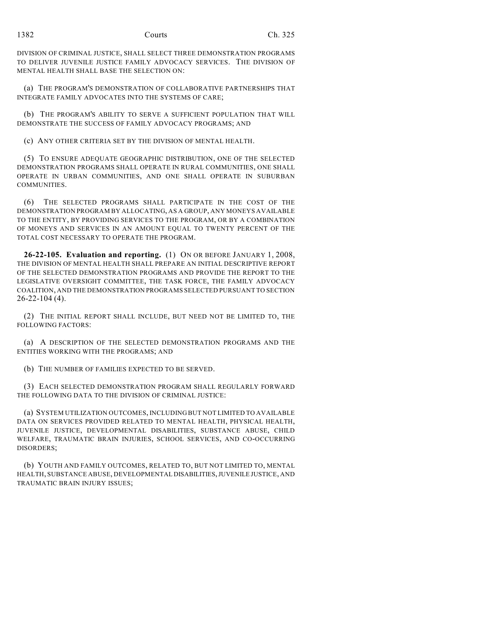DIVISION OF CRIMINAL JUSTICE, SHALL SELECT THREE DEMONSTRATION PROGRAMS TO DELIVER JUVENILE JUSTICE FAMILY ADVOCACY SERVICES. THE DIVISION OF MENTAL HEALTH SHALL BASE THE SELECTION ON:

(a) THE PROGRAM'S DEMONSTRATION OF COLLABORATIVE PARTNERSHIPS THAT INTEGRATE FAMILY ADVOCATES INTO THE SYSTEMS OF CARE;

(b) THE PROGRAM'S ABILITY TO SERVE A SUFFICIENT POPULATION THAT WILL DEMONSTRATE THE SUCCESS OF FAMILY ADVOCACY PROGRAMS; AND

(c) ANY OTHER CRITERIA SET BY THE DIVISION OF MENTAL HEALTH.

(5) TO ENSURE ADEQUATE GEOGRAPHIC DISTRIBUTION, ONE OF THE SELECTED DEMONSTRATION PROGRAMS SHALL OPERATE IN RURAL COMMUNITIES, ONE SHALL OPERATE IN URBAN COMMUNITIES, AND ONE SHALL OPERATE IN SUBURBAN **COMMUNITIES** 

(6) THE SELECTED PROGRAMS SHALL PARTICIPATE IN THE COST OF THE DEMONSTRATION PROGRAM BY ALLOCATING, AS A GROUP, ANY MONEYS AVAILABLE TO THE ENTITY, BY PROVIDING SERVICES TO THE PROGRAM, OR BY A COMBINATION OF MONEYS AND SERVICES IN AN AMOUNT EQUAL TO TWENTY PERCENT OF THE TOTAL COST NECESSARY TO OPERATE THE PROGRAM.

**26-22-105. Evaluation and reporting.** (1) ON OR BEFORE JANUARY 1, 2008, THE DIVISION OF MENTAL HEALTH SHALL PREPARE AN INITIAL DESCRIPTIVE REPORT OF THE SELECTED DEMONSTRATION PROGRAMS AND PROVIDE THE REPORT TO THE LEGISLATIVE OVERSIGHT COMMITTEE, THE TASK FORCE, THE FAMILY ADVOCACY COALITION, AND THE DEMONSTRATION PROGRAMS SELECTED PURSUANT TO SECTION 26-22-104 (4).

(2) THE INITIAL REPORT SHALL INCLUDE, BUT NEED NOT BE LIMITED TO, THE FOLLOWING FACTORS:

(a) A DESCRIPTION OF THE SELECTED DEMONSTRATION PROGRAMS AND THE ENTITIES WORKING WITH THE PROGRAMS; AND

(b) THE NUMBER OF FAMILIES EXPECTED TO BE SERVED.

(3) EACH SELECTED DEMONSTRATION PROGRAM SHALL REGULARLY FORWARD THE FOLLOWING DATA TO THE DIVISION OF CRIMINAL JUSTICE:

(a) SYSTEM UTILIZATION OUTCOMES, INCLUDING BUT NOT LIMITED TO AVAILABLE DATA ON SERVICES PROVIDED RELATED TO MENTAL HEALTH, PHYSICAL HEALTH, JUVENILE JUSTICE, DEVELOPMENTAL DISABILITIES, SUBSTANCE ABUSE, CHILD WELFARE, TRAUMATIC BRAIN INJURIES, SCHOOL SERVICES, AND CO-OCCURRING DISORDERS;

(b) YOUTH AND FAMILY OUTCOMES, RELATED TO, BUT NOT LIMITED TO, MENTAL HEALTH, SUBSTANCE ABUSE, DEVELOPMENTAL DISABILITIES, JUVENILE JUSTICE, AND TRAUMATIC BRAIN INJURY ISSUES;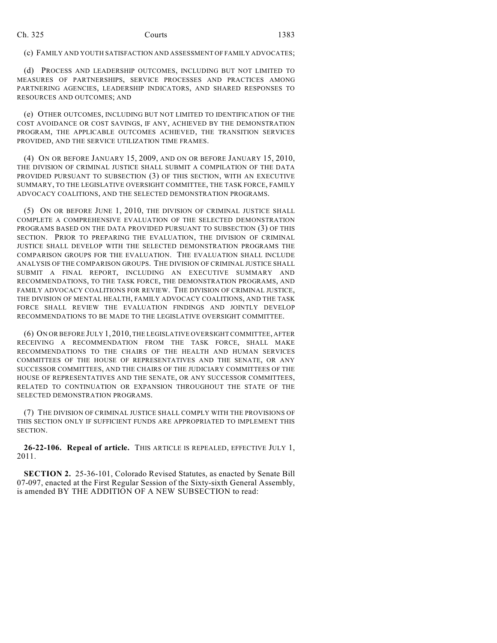(c) FAMILY AND YOUTH SATISFACTION AND ASSESSMENT OF FAMILY ADVOCATES;

(d) PROCESS AND LEADERSHIP OUTCOMES, INCLUDING BUT NOT LIMITED TO MEASURES OF PARTNERSHIPS, SERVICE PROCESSES AND PRACTICES AMONG PARTNERING AGENCIES, LEADERSHIP INDICATORS, AND SHARED RESPONSES TO RESOURCES AND OUTCOMES; AND

(e) OTHER OUTCOMES, INCLUDING BUT NOT LIMITED TO IDENTIFICATION OF THE COST AVOIDANCE OR COST SAVINGS, IF ANY, ACHIEVED BY THE DEMONSTRATION PROGRAM, THE APPLICABLE OUTCOMES ACHIEVED, THE TRANSITION SERVICES PROVIDED, AND THE SERVICE UTILIZATION TIME FRAMES.

(4) ON OR BEFORE JANUARY 15, 2009, AND ON OR BEFORE JANUARY 15, 2010, THE DIVISION OF CRIMINAL JUSTICE SHALL SUBMIT A COMPILATION OF THE DATA PROVIDED PURSUANT TO SUBSECTION (3) OF THIS SECTION, WITH AN EXECUTIVE SUMMARY, TO THE LEGISLATIVE OVERSIGHT COMMITTEE, THE TASK FORCE, FAMILY ADVOCACY COALITIONS, AND THE SELECTED DEMONSTRATION PROGRAMS.

(5) ON OR BEFORE JUNE 1, 2010, THE DIVISION OF CRIMINAL JUSTICE SHALL COMPLETE A COMPREHENSIVE EVALUATION OF THE SELECTED DEMONSTRATION PROGRAMS BASED ON THE DATA PROVIDED PURSUANT TO SUBSECTION (3) OF THIS SECTION. PRIOR TO PREPARING THE EVALUATION, THE DIVISION OF CRIMINAL JUSTICE SHALL DEVELOP WITH THE SELECTED DEMONSTRATION PROGRAMS THE COMPARISON GROUPS FOR THE EVALUATION. THE EVALUATION SHALL INCLUDE ANALYSIS OF THE COMPARISON GROUPS. THE DIVISION OF CRIMINAL JUSTICE SHALL SUBMIT A FINAL REPORT, INCLUDING AN EXECUTIVE SUMMARY AND RECOMMENDATIONS, TO THE TASK FORCE, THE DEMONSTRATION PROGRAMS, AND FAMILY ADVOCACY COALITIONS FOR REVIEW. THE DIVISION OF CRIMINAL JUSTICE, THE DIVISION OF MENTAL HEALTH, FAMILY ADVOCACY COALITIONS, AND THE TASK FORCE SHALL REVIEW THE EVALUATION FINDINGS AND JOINTLY DEVELOP RECOMMENDATIONS TO BE MADE TO THE LEGISLATIVE OVERSIGHT COMMITTEE.

(6) ON OR BEFORE JULY 1, 2010, THE LEGISLATIVE OVERSIGHT COMMITTEE, AFTER RECEIVING A RECOMMENDATION FROM THE TASK FORCE, SHALL MAKE RECOMMENDATIONS TO THE CHAIRS OF THE HEALTH AND HUMAN SERVICES COMMITTEES OF THE HOUSE OF REPRESENTATIVES AND THE SENATE, OR ANY SUCCESSOR COMMITTEES, AND THE CHAIRS OF THE JUDICIARY COMMITTEES OF THE HOUSE OF REPRESENTATIVES AND THE SENATE, OR ANY SUCCESSOR COMMITTEES, RELATED TO CONTINUATION OR EXPANSION THROUGHOUT THE STATE OF THE SELECTED DEMONSTRATION PROGRAMS.

(7) THE DIVISION OF CRIMINAL JUSTICE SHALL COMPLY WITH THE PROVISIONS OF THIS SECTION ONLY IF SUFFICIENT FUNDS ARE APPROPRIATED TO IMPLEMENT THIS SECTION.

**26-22-106. Repeal of article.** THIS ARTICLE IS REPEALED, EFFECTIVE JULY 1, 2011.

**SECTION 2.** 25-36-101, Colorado Revised Statutes, as enacted by Senate Bill 07-097, enacted at the First Regular Session of the Sixty-sixth General Assembly, is amended BY THE ADDITION OF A NEW SUBSECTION to read: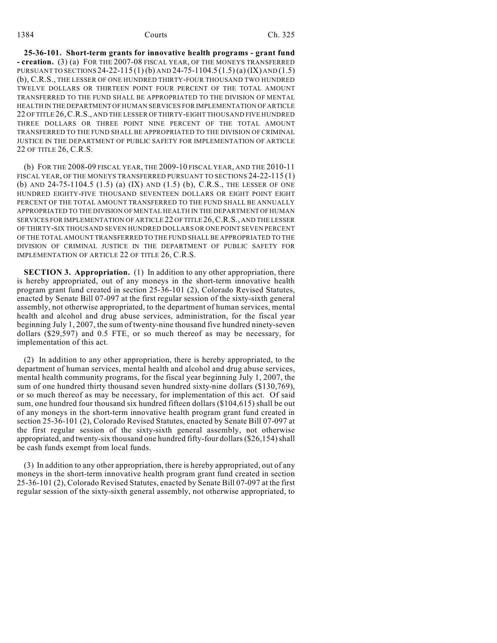**25-36-101. Short-term grants for innovative health programs - grant fund - creation.** (3) (a) FOR THE 2007-08 FISCAL YEAR, OF THE MONEYS TRANSFERRED PURSUANT TO SECTIONS 24-22-115 (1) (b) AND 24-75-1104.5 (1.5) (a) (IX) AND (1.5) (b), C.R.S., THE LESSER OF ONE HUNDRED THIRTY-FOUR THOUSAND TWO HUNDRED TWELVE DOLLARS OR THIRTEEN POINT FOUR PERCENT OF THE TOTAL AMOUNT TRANSFERRED TO THE FUND SHALL BE APPROPRIATED TO THE DIVISION OF MENTAL HEALTH IN THE DEPARTMENT OF HUMAN SERVICES FOR IMPLEMENTATION OF ARTICLE 22 OF TITLE 26,C.R.S., AND THE LESSER OF THIRTY-EIGHT THOUSAND FIVE HUNDRED THREE DOLLARS OR THREE POINT NINE PERCENT OF THE TOTAL AMOUNT TRANSFERRED TO THE FUND SHALL BE APPROPRIATED TO THE DIVISION OF CRIMINAL JUSTICE IN THE DEPARTMENT OF PUBLIC SAFETY FOR IMPLEMENTATION OF ARTICLE 22 OF TITLE 26, C.R.S.

(b) FOR THE 2008-09 FISCAL YEAR, THE 2009-10 FISCAL YEAR, AND THE 2010-11 FISCAL YEAR, OF THE MONEYS TRANSFERRED PURSUANT TO SECTIONS 24-22-115 (1) (b) AND 24-75-1104.5 (1.5) (a) (IX) AND (1.5) (b), C.R.S., THE LESSER OF ONE HUNDRED EIGHTY-FIVE THOUSAND SEVENTEEN DOLLARS OR EIGHT POINT EIGHT PERCENT OF THE TOTAL AMOUNT TRANSFERRED TO THE FUND SHALL BE ANNUALLY APPROPRIATED TO THE DIVISION OF MENTAL HEALTH IN THE DEPARTMENT OF HUMAN SERVICES FOR IMPLEMENTATION OF ARTICLE 22 OF TITLE 26,C.R.S., AND THE LESSER OF THIRTY-SIX THOUSAND SEVEN HUNDRED DOLLARS OR ONE POINT SEVEN PERCENT OF THE TOTAL AMOUNT TRANSFERRED TO THE FUND SHALL BE APPROPRIATED TO THE DIVISION OF CRIMINAL JUSTICE IN THE DEPARTMENT OF PUBLIC SAFETY FOR IMPLEMENTATION OF ARTICLE 22 OF TITLE 26, C.R.S.

**SECTION 3. Appropriation.** (1) In addition to any other appropriation, there is hereby appropriated, out of any moneys in the short-term innovative health program grant fund created in section 25-36-101 (2), Colorado Revised Statutes, enacted by Senate Bill 07-097 at the first regular session of the sixty-sixth general assembly, not otherwise appropriated, to the department of human services, mental health and alcohol and drug abuse services, administration, for the fiscal year beginning July 1, 2007, the sum of twenty-nine thousand five hundred ninety-seven dollars (\$29,597) and 0.5 FTE, or so much thereof as may be necessary, for implementation of this act.

(2) In addition to any other appropriation, there is hereby appropriated, to the department of human services, mental health and alcohol and drug abuse services, mental health community programs, for the fiscal year beginning July 1, 2007, the sum of one hundred thirty thousand seven hundred sixty-nine dollars (\$130,769), or so much thereof as may be necessary, for implementation of this act. Of said sum, one hundred four thousand six hundred fifteen dollars (\$104,615) shall be out of any moneys in the short-term innovative health program grant fund created in section 25-36-101 (2), Colorado Revised Statutes, enacted by Senate Bill 07-097 at the first regular session of the sixty-sixth general assembly, not otherwise appropriated, and twenty-six thousand one hundred fifty-four dollars (\$26,154) shall be cash funds exempt from local funds.

(3) In addition to any other appropriation, there is hereby appropriated, out of any moneys in the short-term innovative health program grant fund created in section 25-36-101 (2), Colorado Revised Statutes, enacted by Senate Bill 07-097 at the first regular session of the sixty-sixth general assembly, not otherwise appropriated, to